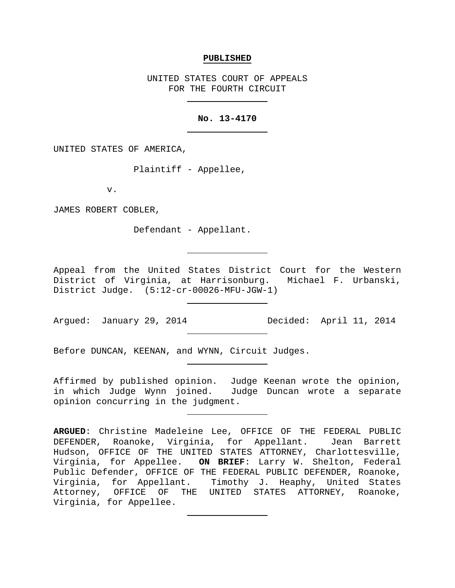#### **PUBLISHED**

UNITED STATES COURT OF APPEALS FOR THE FOURTH CIRCUIT

## **No. 13-4170**

UNITED STATES OF AMERICA,

Plaintiff - Appellee,

v.

JAMES ROBERT COBLER,

Defendant - Appellant.

Appeal from the United States District Court for the Western District of Virginia, at Harrisonburg. Michael F. Urbanski, District Judge. (5:12-cr-00026-MFU-JGW-1)

Argued: January 29, 2014 Decided: April 11, 2014

Before DUNCAN, KEENAN, and WYNN, Circuit Judges.

Affirmed by published opinion. Judge Keenan wrote the opinion, in which Judge Wynn joined. Judge Duncan wrote a separate opinion concurring in the judgment.

**ARGUED**: Christine Madeleine Lee, OFFICE OF THE FEDERAL PUBLIC DEFENDER, Roanoke, Virginia, for Appellant. Jean Barrett Hudson, OFFICE OF THE UNITED STATES ATTORNEY, Charlottesville, Virginia, for Appellee. **ON BRIEF**: Larry W. Shelton, Federal Public Defender, OFFICE OF THE FEDERAL PUBLIC DEFENDER, Roanoke, Virginia, for Appellant. Timothy J. Heaphy, United States Attorney, OFFICE OF THE UNITED STATES ATTORNEY, Roanoke, Virginia, for Appellee.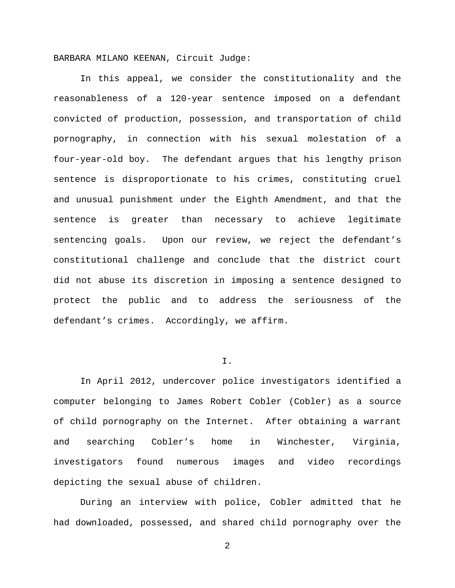BARBARA MILANO KEENAN, Circuit Judge:

In this appeal, we consider the constitutionality and the reasonableness of a 120-year sentence imposed on a defendant convicted of production, possession, and transportation of child pornography, in connection with his sexual molestation of a four-year-old boy. The defendant argues that his lengthy prison sentence is disproportionate to his crimes, constituting cruel and unusual punishment under the Eighth Amendment, and that the sentence is greater than necessary to achieve legitimate sentencing goals. Upon our review, we reject the defendant's constitutional challenge and conclude that the district court did not abuse its discretion in imposing a sentence designed to protect the public and to address the seriousness of the defendant's crimes. Accordingly, we affirm.

### I.

In April 2012, undercover police investigators identified a computer belonging to James Robert Cobler (Cobler) as a source of child pornography on the Internet. After obtaining a warrant and searching Cobler's home in Winchester, Virginia, investigators found numerous images and video recordings depicting the sexual abuse of children.

During an interview with police, Cobler admitted that he had downloaded, possessed, and shared child pornography over the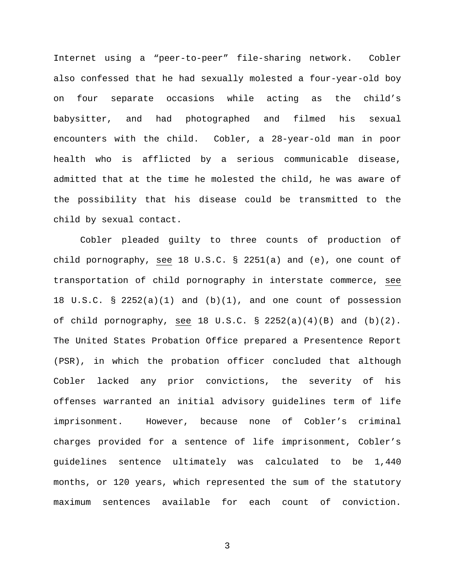Internet using a "peer-to-peer" file-sharing network. Cobler also confessed that he had sexually molested a four-year-old boy on four separate occasions while acting as the child's babysitter, and had photographed and filmed his sexual encounters with the child. Cobler, a 28-year-old man in poor health who is afflicted by a serious communicable disease, admitted that at the time he molested the child, he was aware of the possibility that his disease could be transmitted to the child by sexual contact.

Cobler pleaded guilty to three counts of production of child pornography, see 18 U.S.C. § 2251(a) and (e), one count of transportation of child pornography in interstate commerce, see 18 U.S.C. § 2252(a)(1) and  $(b)(1)$ , and one count of possession of child pornography, see 18 U.S.C.  $\S$  2252(a)(4)(B) and (b)(2). The United States Probation Office prepared a Presentence Report (PSR), in which the probation officer concluded that although Cobler lacked any prior convictions, the severity of his offenses warranted an initial advisory guidelines term of life imprisonment. However, because none of Cobler's criminal charges provided for a sentence of life imprisonment, Cobler's guidelines sentence ultimately was calculated to be 1,440 months, or 120 years, which represented the sum of the statutory maximum sentences available for each count of conviction.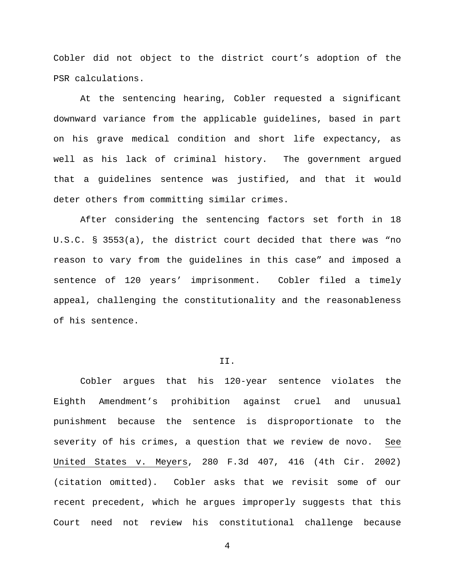Cobler did not object to the district court's adoption of the PSR calculations.

At the sentencing hearing, Cobler requested a significant downward variance from the applicable guidelines, based in part on his grave medical condition and short life expectancy, as well as his lack of criminal history. The government argued that a guidelines sentence was justified, and that it would deter others from committing similar crimes.

After considering the sentencing factors set forth in 18 U.S.C. § 3553(a), the district court decided that there was "no reason to vary from the guidelines in this case" and imposed a sentence of 120 years' imprisonment. Cobler filed a timely appeal, challenging the constitutionality and the reasonableness of his sentence.

# II.

Cobler argues that his 120-year sentence violates the Eighth Amendment's prohibition against cruel and unusual punishment because the sentence is disproportionate to the severity of his crimes, a question that we review de novo. See United States v. Meyers, 280 F.3d 407, 416 (4th Cir. 2002) (citation omitted). Cobler asks that we revisit some of our recent precedent, which he argues improperly suggests that this Court need not review his constitutional challenge because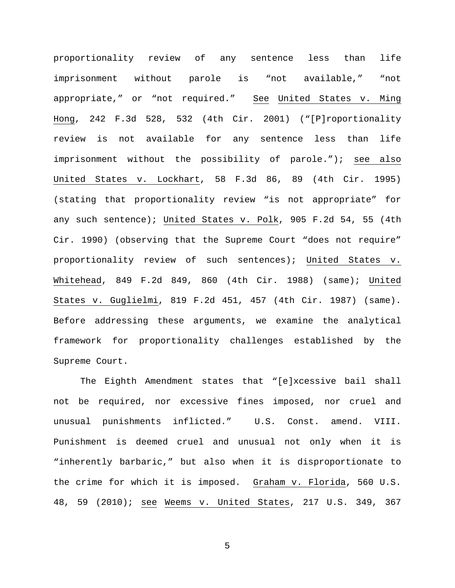proportionality review of any sentence less than life imprisonment without parole is "not available," "not appropriate," or "not required." See United States v. Ming Hong, 242 F.3d 528, 532 (4th Cir. 2001) ("[P]roportionality review is not available for any sentence less than life imprisonment without the possibility of parole."); see also United States v. Lockhart, 58 F.3d 86, 89 (4th Cir. 1995) (stating that proportionality review "is not appropriate" for any such sentence); United States v. Polk, 905 F.2d 54, 55 (4th Cir. 1990) (observing that the Supreme Court "does not require" proportionality review of such sentences); United States v. Whitehead, 849 F.2d 849, 860 (4th Cir. 1988) (same); United States v. Guglielmi, 819 F.2d 451, 457 (4th Cir. 1987) (same). Before addressing these arguments, we examine the analytical framework for proportionality challenges established by the Supreme Court.

The Eighth Amendment states that "[e]xcessive bail shall not be required, nor excessive fines imposed, nor cruel and unusual punishments inflicted." U.S. Const. amend. VIII. Punishment is deemed cruel and unusual not only when it is "inherently barbaric," but also when it is disproportionate to the crime for which it is imposed. Graham v. Florida, 560 U.S. 48, 59 (2010); see Weems v. United States, 217 U.S. 349, 367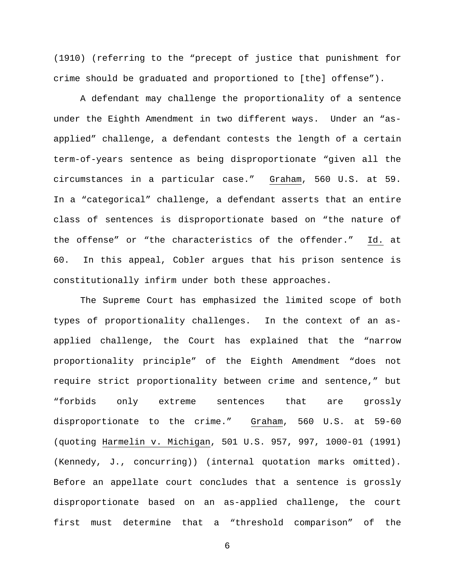(1910) (referring to the "precept of justice that punishment for crime should be graduated and proportioned to [the] offense").

A defendant may challenge the proportionality of a sentence under the Eighth Amendment in two different ways. Under an "asapplied" challenge, a defendant contests the length of a certain term-of-years sentence as being disproportionate "given all the circumstances in a particular case." Graham, 560 U.S. at 59. In a "categorical" challenge, a defendant asserts that an entire class of sentences is disproportionate based on "the nature of the offense" or "the characteristics of the offender." Id. at 60. In this appeal, Cobler argues that his prison sentence is constitutionally infirm under both these approaches.

The Supreme Court has emphasized the limited scope of both types of proportionality challenges. In the context of an asapplied challenge, the Court has explained that the "narrow proportionality principle" of the Eighth Amendment "does not require strict proportionality between crime and sentence," but "forbids only extreme sentences that are grossly disproportionate to the crime." Graham, 560 U.S. at 59-60 (quoting Harmelin v. Michigan, 501 U.S. 957, 997, 1000-01 (1991) (Kennedy, J., concurring)) (internal quotation marks omitted). Before an appellate court concludes that a sentence is grossly disproportionate based on an as-applied challenge, the court first must determine that a "threshold comparison" of the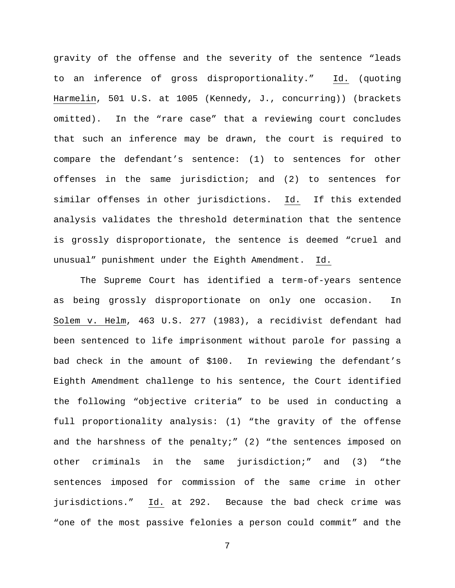gravity of the offense and the severity of the sentence "leads to an inference of gross disproportionality." Id. (quoting Harmelin, 501 U.S. at 1005 (Kennedy, J., concurring)) (brackets omitted). In the "rare case" that a reviewing court concludes that such an inference may be drawn, the court is required to compare the defendant's sentence: (1) to sentences for other offenses in the same jurisdiction; and (2) to sentences for similar offenses in other jurisdictions. Id. If this extended analysis validates the threshold determination that the sentence is grossly disproportionate, the sentence is deemed "cruel and unusual" punishment under the Eighth Amendment. Id.

The Supreme Court has identified a term-of-years sentence as being grossly disproportionate on only one occasion. In Solem v. Helm, 463 U.S. 277 (1983), a recidivist defendant had been sentenced to life imprisonment without parole for passing a bad check in the amount of \$100. In reviewing the defendant's Eighth Amendment challenge to his sentence, the Court identified the following "objective criteria" to be used in conducting a full proportionality analysis: (1) "the gravity of the offense and the harshness of the penalty;" (2) "the sentences imposed on other criminals in the same jurisdiction;" and (3) "the sentences imposed for commission of the same crime in other jurisdictions." Id. at 292. Because the bad check crime was "one of the most passive felonies a person could commit" and the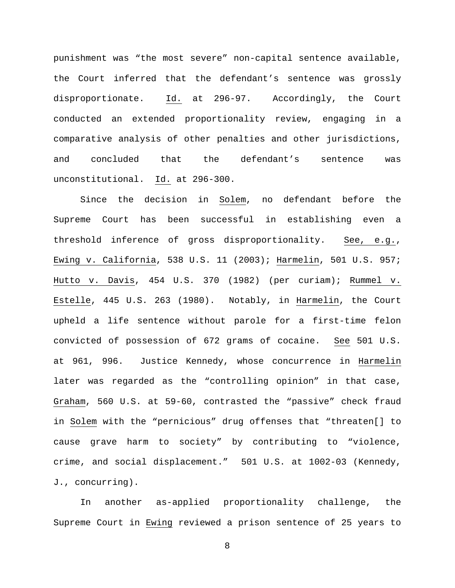punishment was "the most severe" non-capital sentence available, the Court inferred that the defendant's sentence was grossly disproportionate. Id. at 296-97. Accordingly, the Court conducted an extended proportionality review, engaging in a comparative analysis of other penalties and other jurisdictions, and concluded that the defendant's sentence was unconstitutional. Id. at 296-300.

Since the decision in Solem, no defendant before the Supreme Court has been successful in establishing even a threshold inference of gross disproportionality. See, e.g., Ewing v. California, 538 U.S. 11 (2003); Harmelin, 501 U.S. 957; Hutto v. Davis, 454 U.S. 370 (1982) (per curiam); Rummel v. Estelle, 445 U.S. 263 (1980). Notably, in Harmelin, the Court upheld a life sentence without parole for a first-time felon convicted of possession of 672 grams of cocaine. See 501 U.S. at 961, 996. Justice Kennedy, whose concurrence in Harmelin later was regarded as the "controlling opinion" in that case, Graham, 560 U.S. at 59-60, contrasted the "passive" check fraud in Solem with the "pernicious" drug offenses that "threaten[] to cause grave harm to society" by contributing to "violence, crime, and social displacement." 501 U.S. at 1002-03 (Kennedy, J., concurring).

In another as-applied proportionality challenge, the Supreme Court in Ewing reviewed a prison sentence of 25 years to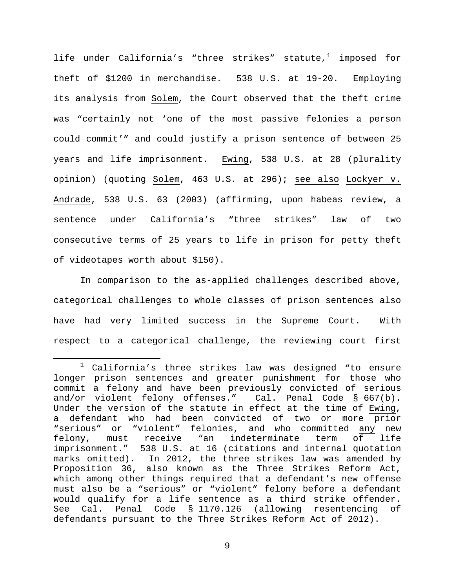life under California's "three strikes" statute, $1$  imposed for theft of \$1200 in merchandise. 538 U.S. at 19-20. Employing its analysis from Solem, the Court observed that the theft crime was "certainly not 'one of the most passive felonies a person could commit'" and could justify a prison sentence of between 25 years and life imprisonment. Ewing, 538 U.S. at 28 (plurality opinion) (quoting Solem, 463 U.S. at 296); see also Lockyer v. Andrade, 538 U.S. 63 (2003) (affirming, upon habeas review, a sentence under California's "three strikes" law of two consecutive terms of 25 years to life in prison for petty theft of videotapes worth about \$150).

In comparison to the as-applied challenges described above, categorical challenges to whole classes of prison sentences also have had very limited success in the Supreme Court. With respect to a categorical challenge, the reviewing court first

<span id="page-8-0"></span> $1$  California's three strikes law was designed "to ensure longer prison sentences and greater punishment for those who commit a felony and have been previously convicted of serious and/or violent felony offenses." Cal. Penal Code § 667(b). Under the version of the statute in effect at the time of Ewing, a defendant who had been convicted of two or more prior "serious" or "violent" felonies, and who committed any new<br>felony, must receive "an indeterminate term of life felony, must receive "an indeterminate term of life imprisonment." 538 U.S. at 16 (citations and internal quotation marks omitted). In 2012, the three strikes law was amended by Proposition 36, also known as the Three Strikes Reform Act, which among other things required that a defendant's new offense must also be a "serious" or "violent" felony before a defendant would qualify for a life sentence as a third strike offender.<br>See Cal. Penal Code § 1170.126 (allowing resentencing of Cal. Penal Code § 1170.126 (allowing resentencing of defendants pursuant to the Three Strikes Reform Act of 2012).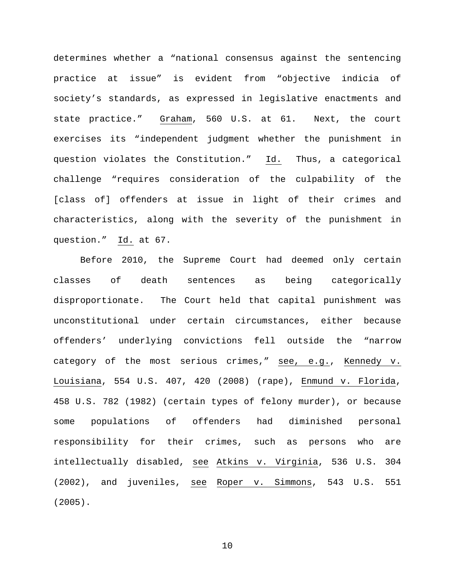determines whether a "national consensus against the sentencing practice at issue" is evident from "objective indicia of society's standards, as expressed in legislative enactments and state practice." Graham, 560 U.S. at 61. Next, the court exercises its "independent judgment whether the punishment in question violates the Constitution." Id. Thus, a categorical challenge "requires consideration of the culpability of the [class of] offenders at issue in light of their crimes and characteristics, along with the severity of the punishment in question." Id. at 67.

Before 2010, the Supreme Court had deemed only certain classes of death sentences as being categorically disproportionate. The Court held that capital punishment was unconstitutional under certain circumstances, either because offenders' underlying convictions fell outside the "narrow category of the most serious crimes," see, e.g., Kennedy v. Louisiana, 554 U.S. 407, 420 (2008) (rape), Enmund v. Florida, 458 U.S. 782 (1982) (certain types of felony murder), or because some populations of offenders had diminished personal responsibility for their crimes, such as persons who are intellectually disabled, see Atkins v. Virginia, 536 U.S. 304 (2002), and juveniles, see Roper v. Simmons, 543 U.S. 551 (2005).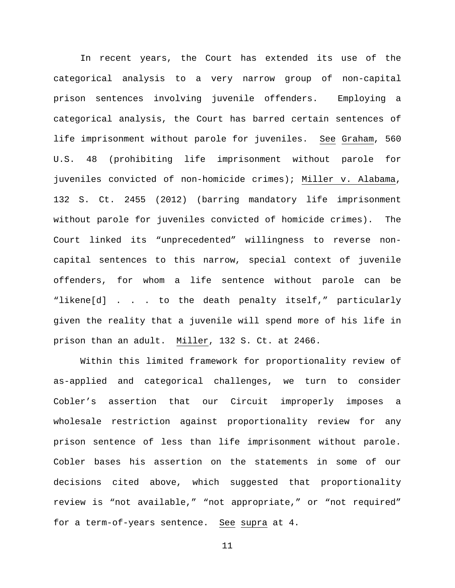In recent years, the Court has extended its use of the categorical analysis to a very narrow group of non-capital prison sentences involving juvenile offenders. Employing a categorical analysis, the Court has barred certain sentences of life imprisonment without parole for juveniles. See Graham, 560 U.S. 48 (prohibiting life imprisonment without parole for juveniles convicted of non-homicide crimes); Miller v. Alabama, 132 S. Ct. 2455 (2012) (barring mandatory life imprisonment without parole for juveniles convicted of homicide crimes). The Court linked its "unprecedented" willingness to reverse noncapital sentences to this narrow, special context of juvenile offenders, for whom a life sentence without parole can be "likene[d] . . . to the death penalty itself," particularly given the reality that a juvenile will spend more of his life in prison than an adult. Miller, 132 S. Ct. at 2466.

Within this limited framework for proportionality review of as-applied and categorical challenges, we turn to consider Cobler's assertion that our Circuit improperly imposes a wholesale restriction against proportionality review for any prison sentence of less than life imprisonment without parole. Cobler bases his assertion on the statements in some of our decisions cited above, which suggested that proportionality review is "not available," "not appropriate," or "not required" for a term-of-years sentence. See supra at 4.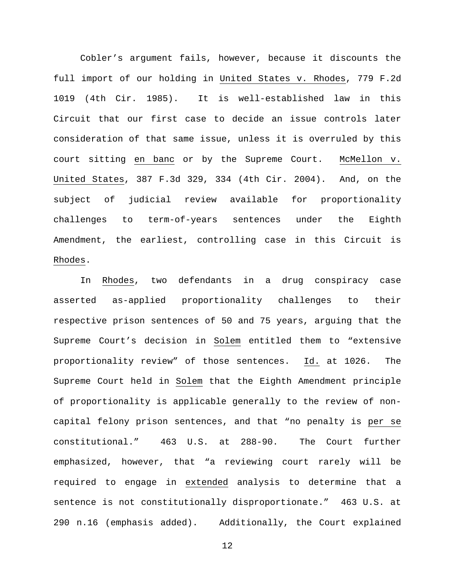Cobler's argument fails, however, because it discounts the full import of our holding in United States v. Rhodes, 779 F.2d 1019 (4th Cir. 1985). It is well-established law in this Circuit that our first case to decide an issue controls later consideration of that same issue, unless it is overruled by this court sitting en banc or by the Supreme Court. McMellon v. United States, 387 F.3d 329, 334 (4th Cir. 2004). And, on the subject of judicial review available for proportionality challenges to term-of-years sentences under the Eighth Amendment, the earliest, controlling case in this Circuit is Rhodes.

In Rhodes, two defendants in a drug conspiracy case asserted as-applied proportionality challenges to their respective prison sentences of 50 and 75 years, arguing that the Supreme Court's decision in Solem entitled them to "extensive proportionality review" of those sentences. Id. at 1026. The Supreme Court held in Solem that the Eighth Amendment principle of proportionality is applicable generally to the review of noncapital felony prison sentences, and that "no penalty is per se constitutional." 463 U.S. at 288-90. The Court further emphasized, however, that "a reviewing court rarely will be required to engage in extended analysis to determine that a sentence is not constitutionally disproportionate." 463 U.S. at 290 n.16 (emphasis added). Additionally, the Court explained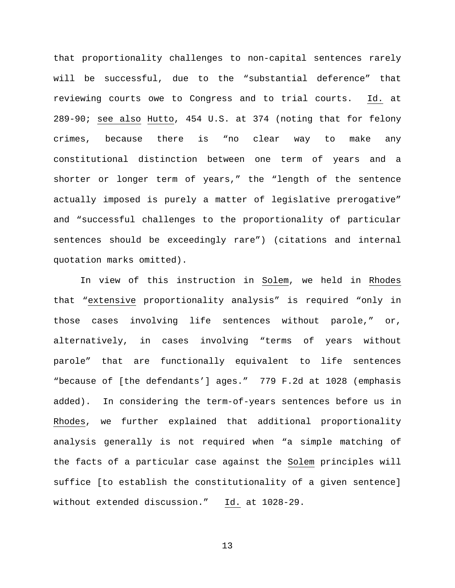that proportionality challenges to non-capital sentences rarely will be successful, due to the "substantial deference" that reviewing courts owe to Congress and to trial courts. Id. at 289-90; see also Hutto, 454 U.S. at 374 (noting that for felony crimes, because there is "no clear way to make any constitutional distinction between one term of years and a shorter or longer term of years," the "length of the sentence actually imposed is purely a matter of legislative prerogative" and "successful challenges to the proportionality of particular sentences should be exceedingly rare") (citations and internal quotation marks omitted).

In view of this instruction in Solem, we held in Rhodes that "extensive proportionality analysis" is required "only in those cases involving life sentences without parole," or, alternatively, in cases involving "terms of years without parole" that are functionally equivalent to life sentences "because of [the defendants'] ages." 779 F.2d at 1028 (emphasis added). In considering the term-of-years sentences before us in Rhodes, we further explained that additional proportionality analysis generally is not required when "a simple matching of the facts of a particular case against the Solem principles will suffice [to establish the constitutionality of a given sentence] without extended discussion." Id. at 1028-29.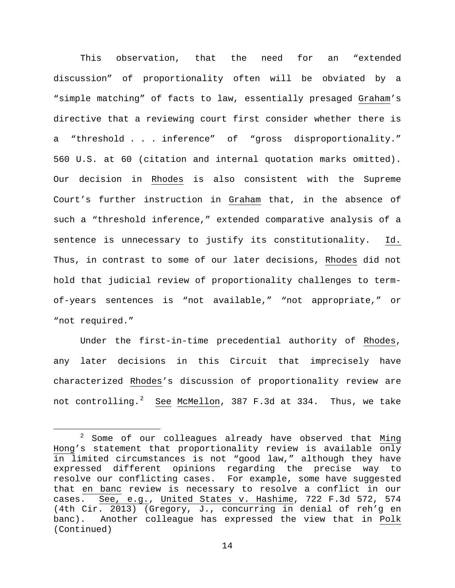This observation, that the need for an "extended discussion" of proportionality often will be obviated by a "simple matching" of facts to law, essentially presaged Graham's directive that a reviewing court first consider whether there is a "threshold . . . inference" of "gross disproportionality." 560 U.S. at 60 (citation and internal quotation marks omitted). Our decision in Rhodes is also consistent with the Supreme Court's further instruction in Graham that, in the absence of such a "threshold inference," extended comparative analysis of a sentence is unnecessary to justify its constitutionality. Id. Thus, in contrast to some of our later decisions, Rhodes did not hold that judicial review of proportionality challenges to termof-years sentences is "not available," "not appropriate," or "not required."

Under the first-in-time precedential authority of Rhodes, any later decisions in this Circuit that imprecisely have characterized Rhodes's discussion of proportionality review are not controlling.<sup>[2](#page-13-0)</sup> <u>See</u> <u>McMellon</u>, 387 F.3d at 334. Thus, we take

<span id="page-13-0"></span> $2$  Some of our colleagues already have observed that Ming Hong's statement that proportionality review is available only in limited circumstances is not "good law," although they have<br>expressed different opinions regarding the precise way to opinions regarding the precise way to resolve our conflicting cases. For example, some have suggested that en banc review is necessary to resolve a conflict in our cases. See, e.g., United States v. Hashime, 722 F.3d 572, 574 (4th Cir. 2013) (Gregory, J., concurring in denial of reh'g en banc). Another colleague has expressed the view that in Polk (Continued)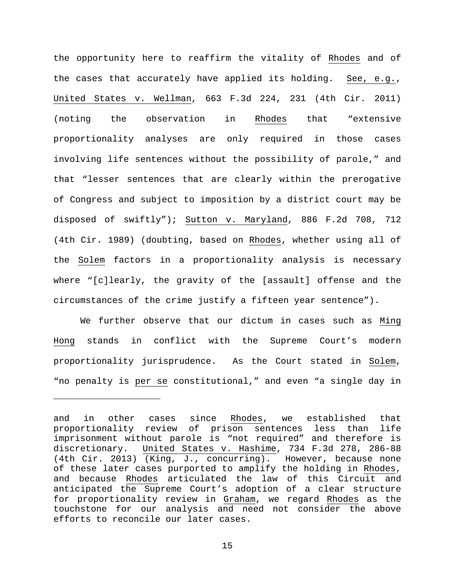the opportunity here to reaffirm the vitality of Rhodes and of the cases that accurately have applied its holding. See, e.g., United States v. Wellman, 663 F.3d 224, 231 (4th Cir. 2011) (noting the observation in Rhodes that "extensive proportionality analyses are only required in those cases involving life sentences without the possibility of parole," and that "lesser sentences that are clearly within the prerogative of Congress and subject to imposition by a district court may be disposed of swiftly"); Sutton v. Maryland, 886 F.2d 708, 712 (4th Cir. 1989) (doubting, based on Rhodes, whether using all of the Solem factors in a proportionality analysis is necessary where "[c]learly, the gravity of the [assault] offense and the circumstances of the crime justify a fifteen year sentence").

We further observe that our dictum in cases such as Ming Hong stands in conflict with the Supreme Court's modern proportionality jurisprudence. As the Court stated in Solem, "no penalty is per se constitutional," and even "a single day in

Ĩ.

and in other cases since Rhodes, we established that proportionality review of prison sentences less than life imprisonment without parole is "not required" and therefore is discretionary. United States v. Hashime, 734 F.3d 278, 286-88 (4th Cir. 2013) (King, J., concurring). However, because none of these later cases purported to amplify the holding in Rhodes, and because Rhodes articulated the law of this Circuit and anticipated the Supreme Court's adoption of a clear structure for proportionality review in Graham, we regard Rhodes as the touchstone for our analysis and need not consider the above efforts to reconcile our later cases.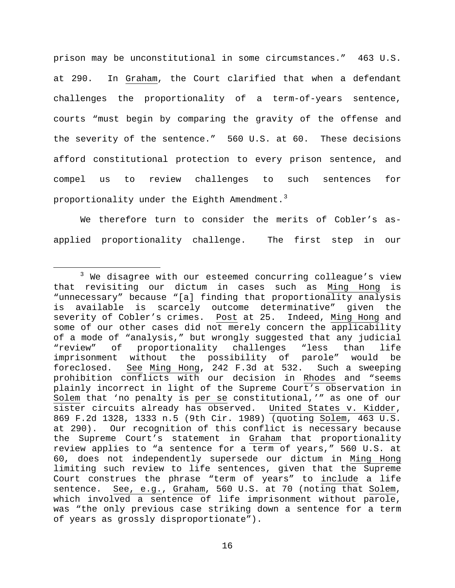prison may be unconstitutional in some circumstances." 463 U.S. at 290. In Graham, the Court clarified that when a defendant challenges the proportionality of a term-of-years sentence, courts "must begin by comparing the gravity of the offense and the severity of the sentence." 560 U.S. at 60. These decisions afford constitutional protection to every prison sentence, and compel us to review challenges to such sentences for proportionality under the Eighth Amendment.<sup>[3](#page-15-0)</sup>

We therefore turn to consider the merits of Cobler's asapplied proportionality challenge. The first step in our

<span id="page-15-0"></span> $3$  We disagree with our esteemed concurring colleague's view that revisiting our dictum in cases such as Ming Hong is "unnecessary" because "[a] finding that proportionality analysis is available is scarcely outcome determinative" given the<br>severity of Cobler's crimes. Post at 25. Indeed, Ming Hong and severity of Cobler's crimes. Post at 25. some of our other cases did not merely concern the applicability of a mode of "analysis," but wrongly suggested that any judicial<br>"review" of proportionality challenges "less than life proportionality challenges imprisonment without the possibility of parole" would be foreclosed. See Ming Hong, 242 F.3d at 532. Such a sweeping prohibition conflicts with our decision in Rhodes and "seems plainly incorrect in light of the Supreme Court's observation in Solem that 'no penalty is per se constitutional,'" as one of our sister circuits already has observed. United States v. Kidder, 869 F.2d 1328, 1333 n.5 (9th Cir. 1989) (quoting Solem, 463 U.S. at 290). Our recognition of this conflict is necessary because the Supreme Court's statement in Graham that proportionality review applies to "a sentence for a term of years," 560 U.S. at 60, does not independently supersede our dictum in Ming Hong limiting such review to life sentences, given that the Supreme Court construes the phrase "term of years" to include a life sentence. See, e.g., Graham, 560 U.S. at 70 (noting that Solem, which involved a sentence of life imprisonment without parole, was "the only previous case striking down a sentence for a term of years as grossly disproportionate").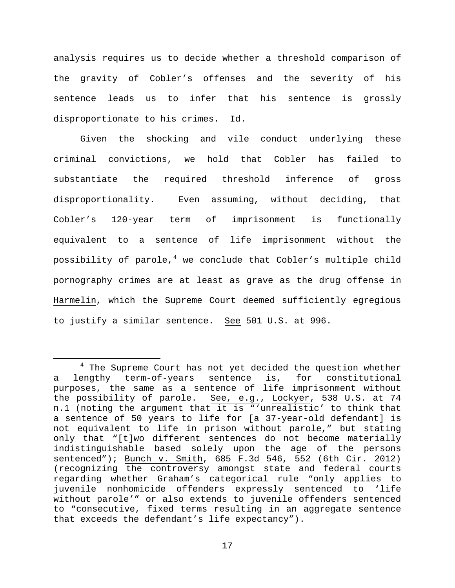analysis requires us to decide whether a threshold comparison of the gravity of Cobler's offenses and the severity of his sentence leads us to infer that his sentence is grossly disproportionate to his crimes. Id.

Given the shocking and vile conduct underlying these criminal convictions, we hold that Cobler has failed to substantiate the required threshold inference of gross disproportionality. Even assuming, without deciding, that Cobler's 120-year term of imprisonment is functionally equivalent to a sentence of life imprisonment without the possibility of parole,<sup>[4](#page-16-0)</sup> we conclude that Cobler's multiple child pornography crimes are at least as grave as the drug offense in Harmelin, which the Supreme Court deemed sufficiently egregious to justify a similar sentence. See 501 U.S. at 996.

<span id="page-16-0"></span><sup>&</sup>lt;sup>4</sup> The Supreme Court has not yet decided the question whether a lengthy term-of-years sentence is, for constitutional purposes, the same as a sentence of life imprisonment without the possibility of parole. See, e.g., Lockyer, 538 U.S. at 74 n.1 (noting the argument that it is "'unrealistic' to think that a sentence of 50 years to life for [a 37-year-old defendant] is not equivalent to life in prison without parole," but stating only that "[t]wo different sentences do not become materially indistinguishable based solely upon the age of the persons sentenced"); Bunch v. Smith, 685 F.3d 546, 552 (6th Cir. 2012) (recognizing the controversy amongst state and federal courts regarding whether Graham's categorical rule "only applies to juvenile nonhomicide offenders expressly sentenced to 'life without parole'" or also extends to juvenile offenders sentenced to "consecutive, fixed terms resulting in an aggregate sentence that exceeds the defendant's life expectancy").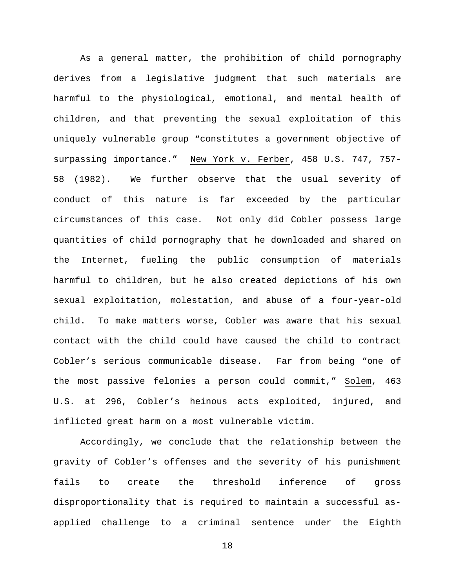As a general matter, the prohibition of child pornography derives from a legislative judgment that such materials are harmful to the physiological, emotional, and mental health of children, and that preventing the sexual exploitation of this uniquely vulnerable group "constitutes a government objective of surpassing importance." New York v. Ferber, 458 U.S. 747, 757- 58 (1982). We further observe that the usual severity of conduct of this nature is far exceeded by the particular circumstances of this case. Not only did Cobler possess large quantities of child pornography that he downloaded and shared on the Internet, fueling the public consumption of materials harmful to children, but he also created depictions of his own sexual exploitation, molestation, and abuse of a four-year-old child. To make matters worse, Cobler was aware that his sexual contact with the child could have caused the child to contract Cobler's serious communicable disease. Far from being "one of the most passive felonies a person could commit," Solem, 463 U.S. at 296, Cobler's heinous acts exploited, injured, and inflicted great harm on a most vulnerable victim.

Accordingly, we conclude that the relationship between the gravity of Cobler's offenses and the severity of his punishment fails to create the threshold inference of gross disproportionality that is required to maintain a successful asapplied challenge to a criminal sentence under the Eighth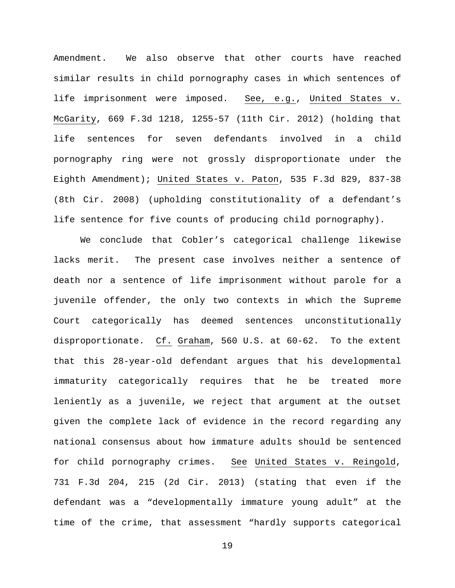Amendment. We also observe that other courts have reached similar results in child pornography cases in which sentences of life imprisonment were imposed. See, e.g., United States v. McGarity, 669 F.3d 1218, 1255-57 (11th Cir. 2012) (holding that life sentences for seven defendants involved in a child pornography ring were not grossly disproportionate under the Eighth Amendment); United States v. Paton, 535 F.3d 829, 837-38 (8th Cir. 2008) (upholding constitutionality of a defendant's life sentence for five counts of producing child pornography).

We conclude that Cobler's categorical challenge likewise lacks merit. The present case involves neither a sentence of death nor a sentence of life imprisonment without parole for a juvenile offender, the only two contexts in which the Supreme Court categorically has deemed sentences unconstitutionally disproportionate. Cf. Graham, 560 U.S. at 60-62. To the extent that this 28-year-old defendant argues that his developmental immaturity categorically requires that he be treated more leniently as a juvenile, we reject that argument at the outset given the complete lack of evidence in the record regarding any national consensus about how immature adults should be sentenced for child pornography crimes. See United States v. Reingold, 731 F.3d 204, 215 (2d Cir. 2013) (stating that even if the defendant was a "developmentally immature young adult" at the time of the crime, that assessment "hardly supports categorical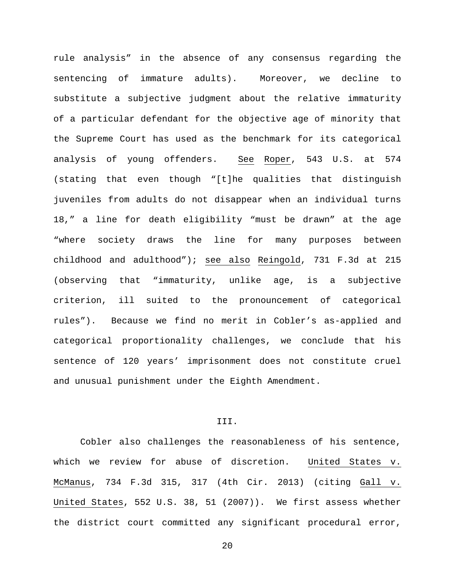rule analysis" in the absence of any consensus regarding the sentencing of immature adults). Moreover, we decline to substitute a subjective judgment about the relative immaturity of a particular defendant for the objective age of minority that the Supreme Court has used as the benchmark for its categorical analysis of young offenders. See Roper, 543 U.S. at 574 (stating that even though "[t]he qualities that distinguish juveniles from adults do not disappear when an individual turns 18," a line for death eligibility "must be drawn" at the age "where society draws the line for many purposes between childhood and adulthood"); see also Reingold, 731 F.3d at 215 (observing that "immaturity, unlike age, is a subjective criterion, ill suited to the pronouncement of categorical rules"). Because we find no merit in Cobler's as-applied and categorical proportionality challenges, we conclude that his sentence of 120 years' imprisonment does not constitute cruel and unusual punishment under the Eighth Amendment.

## III.

Cobler also challenges the reasonableness of his sentence, which we review for abuse of discretion. United States v. McManus, 734 F.3d 315, 317 (4th Cir. 2013) (citing Gall v. United States, 552 U.S. 38, 51 (2007)). We first assess whether the district court committed any significant procedural error,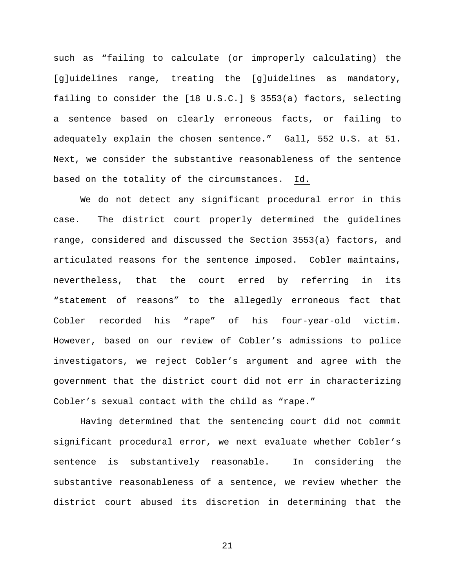such as "failing to calculate (or improperly calculating) the [g]uidelines range, treating the [g]uidelines as mandatory, failing to consider the [18 U.S.C.] § 3553(a) factors, selecting a sentence based on clearly erroneous facts, or failing to adequately explain the chosen sentence." Gall, 552 U.S. at 51. Next, we consider the substantive reasonableness of the sentence based on the totality of the circumstances. Id.

We do not detect any significant procedural error in this case. The district court properly determined the guidelines range, considered and discussed the Section 3553(a) factors, and articulated reasons for the sentence imposed. Cobler maintains, nevertheless, that the court erred by referring in its "statement of reasons" to the allegedly erroneous fact that Cobler recorded his "rape" of his four-year-old victim. However, based on our review of Cobler's admissions to police investigators, we reject Cobler's argument and agree with the government that the district court did not err in characterizing Cobler's sexual contact with the child as "rape."

Having determined that the sentencing court did not commit significant procedural error, we next evaluate whether Cobler's sentence is substantively reasonable. In considering the substantive reasonableness of a sentence, we review whether the district court abused its discretion in determining that the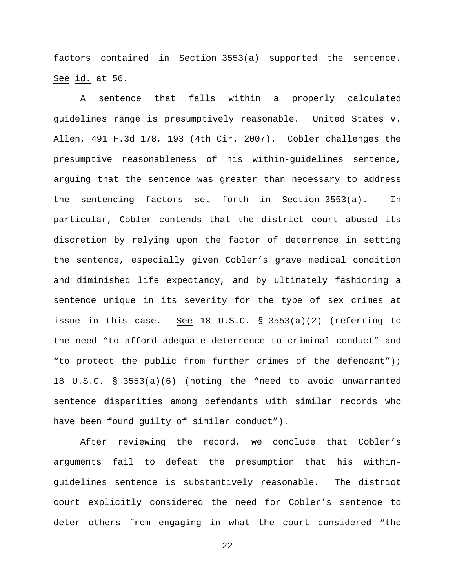factors contained in Section 3553(a) supported the sentence. See id. at 56.

A sentence that falls within a properly calculated guidelines range is presumptively reasonable. United States v. Allen, 491 F.3d 178, 193 (4th Cir. 2007). Cobler challenges the presumptive reasonableness of his within-guidelines sentence, arguing that the sentence was greater than necessary to address the sentencing factors set forth in Section 3553(a). In particular, Cobler contends that the district court abused its discretion by relying upon the factor of deterrence in setting the sentence, especially given Cobler's grave medical condition and diminished life expectancy, and by ultimately fashioning a sentence unique in its severity for the type of sex crimes at issue in this case. See 18 U.S.C. § 3553(a)(2) (referring to the need "to afford adequate deterrence to criminal conduct" and "to protect the public from further crimes of the defendant"); 18 U.S.C. § 3553(a)(6) (noting the "need to avoid unwarranted sentence disparities among defendants with similar records who have been found guilty of similar conduct").

After reviewing the record, we conclude that Cobler's arguments fail to defeat the presumption that his withinguidelines sentence is substantively reasonable. The district court explicitly considered the need for Cobler's sentence to deter others from engaging in what the court considered "the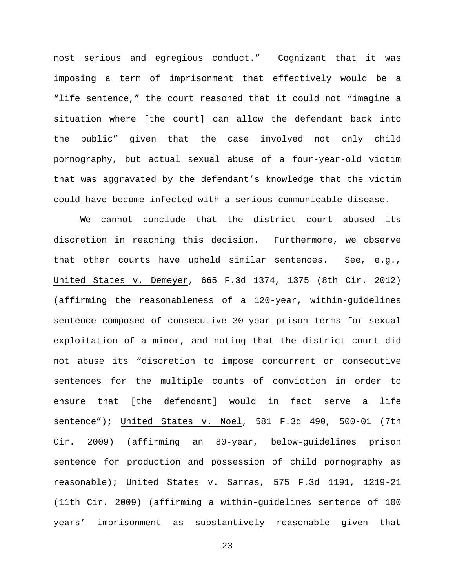most serious and egregious conduct." Cognizant that it was imposing a term of imprisonment that effectively would be a "life sentence," the court reasoned that it could not "imagine a situation where [the court] can allow the defendant back into the public" given that the case involved not only child pornography, but actual sexual abuse of a four-year-old victim that was aggravated by the defendant's knowledge that the victim could have become infected with a serious communicable disease.

We cannot conclude that the district court abused its discretion in reaching this decision. Furthermore, we observe that other courts have upheld similar sentences. See, e.g., United States v. Demeyer, 665 F.3d 1374, 1375 (8th Cir. 2012) (affirming the reasonableness of a 120-year, within-guidelines sentence composed of consecutive 30-year prison terms for sexual exploitation of a minor, and noting that the district court did not abuse its "discretion to impose concurrent or consecutive sentences for the multiple counts of conviction in order to ensure that [the defendant] would in fact serve a life sentence"); United States v. Noel, 581 F.3d 490, 500-01 (7th Cir. 2009) (affirming an 80-year, below-guidelines prison sentence for production and possession of child pornography as reasonable); United States v. Sarras, 575 F.3d 1191, 1219-21 (11th Cir. 2009) (affirming a within-guidelines sentence of 100 years' imprisonment as substantively reasonable given that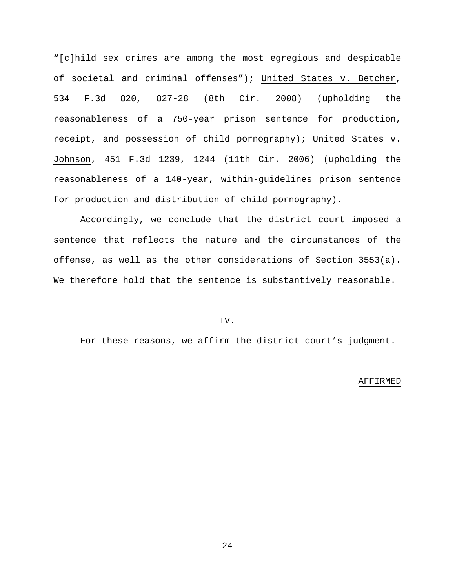"[c]hild sex crimes are among the most egregious and despicable of societal and criminal offenses"); United States v. Betcher, 534 F.3d 820, 827-28 (8th Cir. 2008) (upholding the reasonableness of a 750-year prison sentence for production, receipt, and possession of child pornography); United States v. Johnson, 451 F.3d 1239, 1244 (11th Cir. 2006) (upholding the reasonableness of a 140-year, within-guidelines prison sentence for production and distribution of child pornography).

Accordingly, we conclude that the district court imposed a sentence that reflects the nature and the circumstances of the offense, as well as the other considerations of Section 3553(a). We therefore hold that the sentence is substantively reasonable.

# IV.

For these reasons, we affirm the district court's judgment.

#### AFFIRMED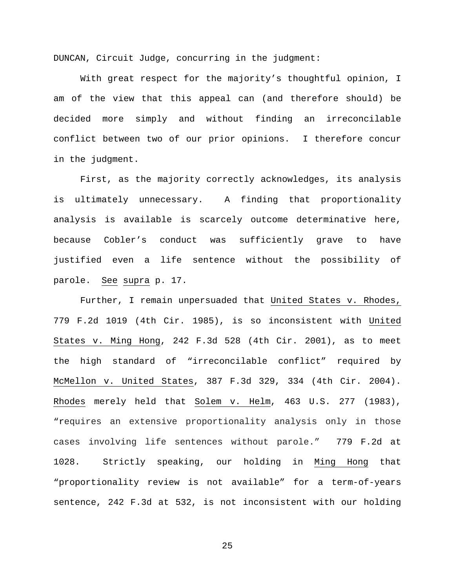DUNCAN, Circuit Judge, concurring in the judgment:

With great respect for the majority's thoughtful opinion, I am of the view that this appeal can (and therefore should) be decided more simply and without finding an irreconcilable conflict between two of our prior opinions. I therefore concur in the judgment.

First, as the majority correctly acknowledges, its analysis is ultimately unnecessary. A finding that proportionality analysis is available is scarcely outcome determinative here, because Cobler's conduct was sufficiently grave to have justified even a life sentence without the possibility of parole. See supra p. 17.

Further, I remain unpersuaded that United States v. Rhodes, 779 F.2d 1019 (4th Cir. 1985), is so inconsistent with United States v. Ming Hong, 242 F.3d 528 (4th Cir. 2001), as to meet the high standard of "irreconcilable conflict" required by McMellon v. United States, 387 F.3d 329, 334 (4th Cir. 2004). Rhodes merely held that Solem v. Helm, 463 U.S. 277 (1983), "requires an extensive proportionality analysis only in those cases involving life sentences without parole." 779 F.2d at 1028. Strictly speaking, our holding in Ming Hong that "proportionality review is not available" for a term-of-years sentence, 242 F.3d at 532, is not inconsistent with our holding